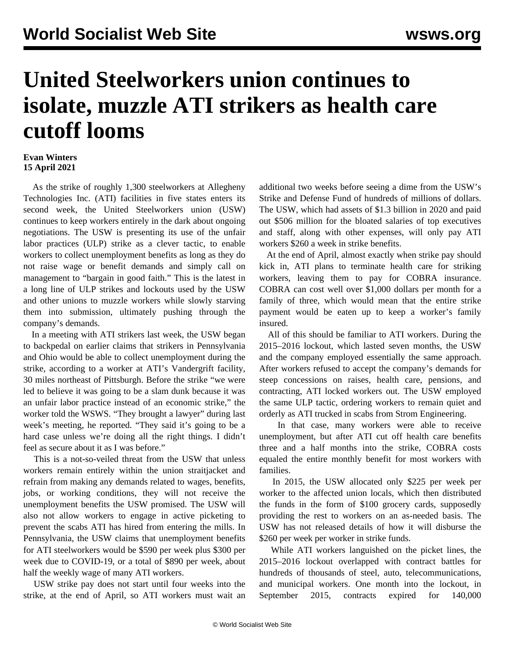## **United Steelworkers union continues to isolate, muzzle ATI strikers as health care cutoff looms**

## **Evan Winters 15 April 2021**

 As the strike of roughly 1,300 steelworkers at Allegheny Technologies Inc. (ATI) facilities in five states enters its second week, the United Steelworkers union (USW) continues to keep workers entirely in the dark about ongoing negotiations. The USW is presenting its use of the unfair labor practices (ULP) strike as a clever tactic, to enable workers to collect unemployment benefits as long as they do not raise wage or benefit demands and simply call on management to "bargain in good faith." This is the latest in a long line of ULP strikes and lockouts used by the USW and other unions to muzzle workers while slowly starving them into submission, ultimately pushing through the company's demands.

 In a meeting with ATI strikers last week, the USW began to backpedal on earlier claims that strikers in Pennsylvania and Ohio would be able to collect unemployment during the strike, according to a worker at ATI's Vandergrift facility, 30 miles northeast of Pittsburgh. Before the strike "we were led to believe it was going to be a slam dunk because it was an unfair labor practice instead of an economic strike," the worker told the WSWS. "They brought a lawyer" during last week's meeting, he reported. "They said it's going to be a hard case unless we're doing all the right things. I didn't feel as secure about it as I was before."

 This is a not-so-veiled threat from the USW that unless workers remain entirely within the union straitjacket and refrain from making any demands related to wages, benefits, jobs, or working conditions, they will not receive the unemployment benefits the USW promised. The USW will also not allow workers to engage in active picketing to prevent the scabs ATI has hired from entering the mills. In Pennsylvania, the USW claims that unemployment benefits for ATI steelworkers would be \$590 per week plus \$300 per week due to COVID-19, or a total of \$890 per week, about half the weekly wage of many ATI workers.

 USW strike pay does not start until four weeks into the strike, at the end of April, so ATI workers must wait an additional two weeks before seeing a dime from the USW's Strike and Defense Fund of hundreds of millions of dollars. The USW, which had assets of \$1.3 billion in 2020 and paid out \$506 million for the bloated salaries of top executives and staff, along with other expenses, will only pay ATI workers \$260 a week in strike benefits.

 At the end of April, almost exactly when strike pay should kick in, ATI plans to terminate health care for striking workers, leaving them to pay for COBRA insurance. COBRA can cost well over \$1,000 dollars per month for a family of three, which would mean that the entire strike payment would be eaten up to keep a worker's family insured.

 All of this should be familiar to ATI workers. During the 2015–2016 lockout, which lasted seven months, the USW and the company employed essentially the same approach. After workers refused to accept the company's demands for steep concessions on raises, health care, pensions, and contracting, ATI locked workers out. The USW employed the same ULP tactic, ordering workers to remain quiet and orderly as ATI trucked in scabs from Strom Engineering.

 In that case, many workers were able to receive unemployment, but after ATI cut off health care benefits three and a half months into the strike, COBRA costs equaled the entire monthly benefit for most workers with families.

 In 2015, the USW allocated only \$225 per week per worker to the affected union locals, which then distributed the funds in the form of \$100 grocery cards, supposedly providing the rest to workers on an as-needed basis. The USW has not released details of how it will disburse the \$260 per week per worker in strike funds.

 While ATI workers languished on the picket lines, the 2015–2016 lockout overlapped with contract battles for hundreds of thousands of steel, auto, telecommunications, and municipal workers. One month into the lockout, in September 2015, contracts expired for 140,000